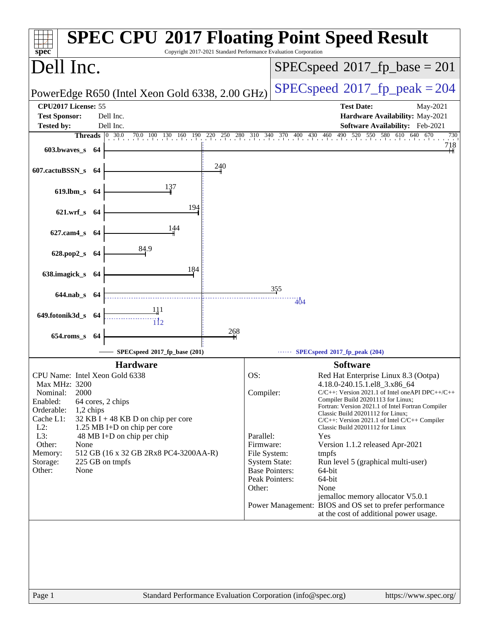| Copyright 2017-2021 Standard Performance Evaluation Corporation<br>$spec^*$                                                                                                                                                                                                                                                                                                                                 | <b>SPEC CPU®2017 Floating Point Speed Result</b>                                                                                                                                                                                                                                                                                                                                                                                                                                                                                                                                                                                                                                                                                                                                  |
|-------------------------------------------------------------------------------------------------------------------------------------------------------------------------------------------------------------------------------------------------------------------------------------------------------------------------------------------------------------------------------------------------------------|-----------------------------------------------------------------------------------------------------------------------------------------------------------------------------------------------------------------------------------------------------------------------------------------------------------------------------------------------------------------------------------------------------------------------------------------------------------------------------------------------------------------------------------------------------------------------------------------------------------------------------------------------------------------------------------------------------------------------------------------------------------------------------------|
| Dell Inc.                                                                                                                                                                                                                                                                                                                                                                                                   | $SPEC speed^{\circ}2017$ _fp_base = 201                                                                                                                                                                                                                                                                                                                                                                                                                                                                                                                                                                                                                                                                                                                                           |
| PowerEdge R650 (Intel Xeon Gold 6338, 2.00 GHz)                                                                                                                                                                                                                                                                                                                                                             | $SPEC speed^{\circ}2017$ fp peak = 204                                                                                                                                                                                                                                                                                                                                                                                                                                                                                                                                                                                                                                                                                                                                            |
| CPU2017 License: 55<br><b>Test Sponsor:</b><br>Dell Inc.<br>Dell Inc.<br><b>Tested by:</b>                                                                                                                                                                                                                                                                                                                  | <b>Test Date:</b><br>May-2021<br>Hardware Availability: May-2021<br>Software Availability: Feb-2021                                                                                                                                                                                                                                                                                                                                                                                                                                                                                                                                                                                                                                                                               |
| $603.bwaves$ 64<br>240<br>607.cactuBSSN_s 64<br>137<br>619.lbm_s 64<br>194<br>621.wrf_s 64<br>144<br>627.cam4_s 64<br>84.9<br>628.pop2_s 64<br>184<br>638.imagick_s 64<br>$644$ .nab s $64$<br>649.fotonik3d_s 64                                                                                                                                                                                           | <b>Threads</b> 0 30.0 70.0 100 130 160 190 220 250 280 310 340 370 400 430 460 490 520 550 580 610 640 670<br>730<br>718<br>355<br>404                                                                                                                                                                                                                                                                                                                                                                                                                                                                                                                                                                                                                                            |
| 268<br>$654$ .roms_s<br>-64                                                                                                                                                                                                                                                                                                                                                                                 |                                                                                                                                                                                                                                                                                                                                                                                                                                                                                                                                                                                                                                                                                                                                                                                   |
| SPECspeed®2017_fp_base (201)                                                                                                                                                                                                                                                                                                                                                                                | SPECspeed®2017_fp_peak (204)                                                                                                                                                                                                                                                                                                                                                                                                                                                                                                                                                                                                                                                                                                                                                      |
| <b>Hardware</b><br>CPU Name: Intel Xeon Gold 6338<br>Max MHz: 3200<br>Nominal:<br>2000<br>Enabled:<br>64 cores, 2 chips<br>Orderable:<br>1,2 chips<br>Cache L1:<br>32 KB I + 48 KB D on chip per core<br>$L2$ :<br>1.25 MB I+D on chip per core<br>L3:<br>48 MB I+D on chip per chip<br>Other:<br>None<br>512 GB (16 x 32 GB 2Rx8 PC4-3200AA-R)<br>Memory:<br>225 GB on tmpfs<br>Storage:<br>Other:<br>None | <b>Software</b><br>OS:<br>Red Hat Enterprise Linux 8.3 (Ootpa)<br>4.18.0-240.15.1.el8_3.x86_64<br>Compiler:<br>$C/C++$ : Version 2021.1 of Intel one API DPC++/C++<br>Compiler Build 20201113 for Linux;<br>Fortran: Version 2021.1 of Intel Fortran Compiler<br>Classic Build 20201112 for Linux;<br>$C/C++$ : Version 2021.1 of Intel $C/C++$ Compiler<br>Classic Build 20201112 for Linux<br>Parallel:<br>Yes<br>Firmware:<br>Version 1.1.2 released Apr-2021<br>File System:<br>tmpfs<br><b>System State:</b><br>Run level 5 (graphical multi-user)<br><b>Base Pointers:</b><br>64-bit<br>Peak Pointers:<br>64-bit<br>Other:<br>None<br>jemalloc memory allocator V5.0.1<br>Power Management: BIOS and OS set to prefer performance<br>at the cost of additional power usage. |
| Page 1                                                                                                                                                                                                                                                                                                                                                                                                      | Standard Performance Evaluation Corporation (info@spec.org)<br>https://www.spec.org/                                                                                                                                                                                                                                                                                                                                                                                                                                                                                                                                                                                                                                                                                              |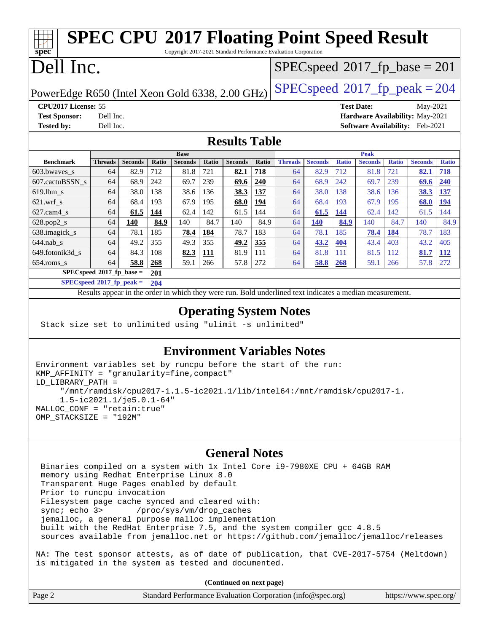#### **[spec](http://www.spec.org/) [SPEC CPU](http://www.spec.org/auto/cpu2017/Docs/result-fields.html#SPECCPU2017FloatingPointSpeedResult)[2017 Floating Point Speed Result](http://www.spec.org/auto/cpu2017/Docs/result-fields.html#SPECCPU2017FloatingPointSpeedResult)** Copyright 2017-2021 Standard Performance Evaluation Corporation Dell Inc. PowerEdge R650 (Intel Xeon Gold 6338, 2.00 GHz)  $\left|$  [SPECspeed](http://www.spec.org/auto/cpu2017/Docs/result-fields.html#SPECspeed2017fppeak)<sup>®</sup>[2017\\_fp\\_peak = 2](http://www.spec.org/auto/cpu2017/Docs/result-fields.html#SPECspeed2017fppeak)04  $SPEC speed$ <sup>®</sup> $2017$ \_fp\_base = 201 **[CPU2017 License:](http://www.spec.org/auto/cpu2017/Docs/result-fields.html#CPU2017License)** 55 **[Test Date:](http://www.spec.org/auto/cpu2017/Docs/result-fields.html#TestDate)** May-2021 **[Test Sponsor:](http://www.spec.org/auto/cpu2017/Docs/result-fields.html#TestSponsor)** Dell Inc. **[Hardware Availability:](http://www.spec.org/auto/cpu2017/Docs/result-fields.html#HardwareAvailability)** May-2021 **[Tested by:](http://www.spec.org/auto/cpu2017/Docs/result-fields.html#Testedby)** Dell Inc. **[Software Availability:](http://www.spec.org/auto/cpu2017/Docs/result-fields.html#SoftwareAvailability)** Feb-2021 **[Results Table](http://www.spec.org/auto/cpu2017/Docs/result-fields.html#ResultsTable) [Benchmark](http://www.spec.org/auto/cpu2017/Docs/result-fields.html#Benchmark) [Threads](http://www.spec.org/auto/cpu2017/Docs/result-fields.html#Threads) [Seconds](http://www.spec.org/auto/cpu2017/Docs/result-fields.html#Seconds) [Ratio](http://www.spec.org/auto/cpu2017/Docs/result-fields.html#Ratio) [Seconds](http://www.spec.org/auto/cpu2017/Docs/result-fields.html#Seconds) [Ratio](http://www.spec.org/auto/cpu2017/Docs/result-fields.html#Ratio) [Seconds](http://www.spec.org/auto/cpu2017/Docs/result-fields.html#Seconds) [Ratio](http://www.spec.org/auto/cpu2017/Docs/result-fields.html#Ratio) Base [Threads](http://www.spec.org/auto/cpu2017/Docs/result-fields.html#Threads) [Seconds](http://www.spec.org/auto/cpu2017/Docs/result-fields.html#Seconds) [Ratio](http://www.spec.org/auto/cpu2017/Docs/result-fields.html#Ratio) [Seconds](http://www.spec.org/auto/cpu2017/Docs/result-fields.html#Seconds) [Ratio](http://www.spec.org/auto/cpu2017/Docs/result-fields.html#Ratio) [Seconds](http://www.spec.org/auto/cpu2017/Docs/result-fields.html#Seconds) [Ratio](http://www.spec.org/auto/cpu2017/Docs/result-fields.html#Ratio) Peak** [603.bwaves\\_s](http://www.spec.org/auto/cpu2017/Docs/benchmarks/603.bwaves_s.html) 64 82.9 712 81.8 721 **[82.1](http://www.spec.org/auto/cpu2017/Docs/result-fields.html#Median) [718](http://www.spec.org/auto/cpu2017/Docs/result-fields.html#Median)** 64 82.9 712 81.8 721 **[82.1](http://www.spec.org/auto/cpu2017/Docs/result-fields.html#Median) [718](http://www.spec.org/auto/cpu2017/Docs/result-fields.html#Median)** [607.cactuBSSN\\_s](http://www.spec.org/auto/cpu2017/Docs/benchmarks/607.cactuBSSN_s.html) 64 68.9 242 69.7 239 **[69.6](http://www.spec.org/auto/cpu2017/Docs/result-fields.html#Median) [240](http://www.spec.org/auto/cpu2017/Docs/result-fields.html#Median)** 64 68.9 242 69.7 239 **[69.6](http://www.spec.org/auto/cpu2017/Docs/result-fields.html#Median) [240](http://www.spec.org/auto/cpu2017/Docs/result-fields.html#Median)** [619.lbm\\_s](http://www.spec.org/auto/cpu2017/Docs/benchmarks/619.lbm_s.html) 64 38.0 138 38.6 136 **[38.3](http://www.spec.org/auto/cpu2017/Docs/result-fields.html#Median) [137](http://www.spec.org/auto/cpu2017/Docs/result-fields.html#Median)** 64 38.0 138 38.6 136 **[38.3](http://www.spec.org/auto/cpu2017/Docs/result-fields.html#Median) [137](http://www.spec.org/auto/cpu2017/Docs/result-fields.html#Median)** [621.wrf\\_s](http://www.spec.org/auto/cpu2017/Docs/benchmarks/621.wrf_s.html) 64 68.4 193 67.9 195 **[68.0](http://www.spec.org/auto/cpu2017/Docs/result-fields.html#Median) [194](http://www.spec.org/auto/cpu2017/Docs/result-fields.html#Median)** 64 68.4 193 67.9 195 **[68.0](http://www.spec.org/auto/cpu2017/Docs/result-fields.html#Median) [194](http://www.spec.org/auto/cpu2017/Docs/result-fields.html#Median)** [627.cam4\\_s](http://www.spec.org/auto/cpu2017/Docs/benchmarks/627.cam4_s.html) 64 **[61.5](http://www.spec.org/auto/cpu2017/Docs/result-fields.html#Median) [144](http://www.spec.org/auto/cpu2017/Docs/result-fields.html#Median)** 62.4 142 61.5 144 64 **[61.5](http://www.spec.org/auto/cpu2017/Docs/result-fields.html#Median) [144](http://www.spec.org/auto/cpu2017/Docs/result-fields.html#Median)** 62.4 142 61.5 144 [628.pop2\\_s](http://www.spec.org/auto/cpu2017/Docs/benchmarks/628.pop2_s.html) 64 **[140](http://www.spec.org/auto/cpu2017/Docs/result-fields.html#Median) [84.9](http://www.spec.org/auto/cpu2017/Docs/result-fields.html#Median)** 140 84.7 140 84.9 64 **[140](http://www.spec.org/auto/cpu2017/Docs/result-fields.html#Median) [84.9](http://www.spec.org/auto/cpu2017/Docs/result-fields.html#Median)** 140 84.7 140 84.9 [638.imagick\\_s](http://www.spec.org/auto/cpu2017/Docs/benchmarks/638.imagick_s.html) 64 78.1 185 **[78.4](http://www.spec.org/auto/cpu2017/Docs/result-fields.html#Median) [184](http://www.spec.org/auto/cpu2017/Docs/result-fields.html#Median)** 78.7 183 64 78.1 185 **[78.4](http://www.spec.org/auto/cpu2017/Docs/result-fields.html#Median) [184](http://www.spec.org/auto/cpu2017/Docs/result-fields.html#Median)** 78.7 183 [644.nab\\_s](http://www.spec.org/auto/cpu2017/Docs/benchmarks/644.nab_s.html) 64 49.2 355 49.3 355 **[49.2](http://www.spec.org/auto/cpu2017/Docs/result-fields.html#Median) [355](http://www.spec.org/auto/cpu2017/Docs/result-fields.html#Median)** 64 **[43.2](http://www.spec.org/auto/cpu2017/Docs/result-fields.html#Median) [404](http://www.spec.org/auto/cpu2017/Docs/result-fields.html#Median)** 43.4 403 43.2 405 [649.fotonik3d\\_s](http://www.spec.org/auto/cpu2017/Docs/benchmarks/649.fotonik3d_s.html) 64 84.3 108 **[82.3](http://www.spec.org/auto/cpu2017/Docs/result-fields.html#Median) [111](http://www.spec.org/auto/cpu2017/Docs/result-fields.html#Median)** 81.9 111 64 81.8 111 81.5 112 **[81.7](http://www.spec.org/auto/cpu2017/Docs/result-fields.html#Median) [112](http://www.spec.org/auto/cpu2017/Docs/result-fields.html#Median)** [654.roms\\_s](http://www.spec.org/auto/cpu2017/Docs/benchmarks/654.roms_s.html) 64 **[58.8](http://www.spec.org/auto/cpu2017/Docs/result-fields.html#Median) [268](http://www.spec.org/auto/cpu2017/Docs/result-fields.html#Median)** 59.1 266 57.8 272 64 **[58.8](http://www.spec.org/auto/cpu2017/Docs/result-fields.html#Median) [268](http://www.spec.org/auto/cpu2017/Docs/result-fields.html#Median)** 59.1 266 57.8 272 **[SPECspeed](http://www.spec.org/auto/cpu2017/Docs/result-fields.html#SPECspeed2017fpbase)[2017\\_fp\\_base =](http://www.spec.org/auto/cpu2017/Docs/result-fields.html#SPECspeed2017fpbase) 201 [SPECspeed](http://www.spec.org/auto/cpu2017/Docs/result-fields.html#SPECspeed2017fppeak)[2017\\_fp\\_peak =](http://www.spec.org/auto/cpu2017/Docs/result-fields.html#SPECspeed2017fppeak) 204** Results appear in the [order in which they were run.](http://www.spec.org/auto/cpu2017/Docs/result-fields.html#RunOrder) Bold underlined text [indicates a median measurement](http://www.spec.org/auto/cpu2017/Docs/result-fields.html#Median).

#### **[Operating System Notes](http://www.spec.org/auto/cpu2017/Docs/result-fields.html#OperatingSystemNotes)**

Stack size set to unlimited using "ulimit -s unlimited"

### **[Environment Variables Notes](http://www.spec.org/auto/cpu2017/Docs/result-fields.html#EnvironmentVariablesNotes)**

```
Environment variables set by runcpu before the start of the run:
KMP_AFFINITY = "granularity=fine,compact"
LD_LIBRARY_PATH =
      "/mnt/ramdisk/cpu2017-1.1.5-ic2021.1/lib/intel64:/mnt/ramdisk/cpu2017-1.
      1.5-ic2021.1/je5.0.1-64"
MALLOC_CONF = "retain:true"
OMP_STACKSIZE = "192M"
```
### **[General Notes](http://www.spec.org/auto/cpu2017/Docs/result-fields.html#GeneralNotes)**

 Binaries compiled on a system with 1x Intel Core i9-7980XE CPU + 64GB RAM memory using Redhat Enterprise Linux 8.0 Transparent Huge Pages enabled by default Prior to runcpu invocation Filesystem page cache synced and cleared with: sync; echo 3> /proc/sys/vm/drop\_caches jemalloc, a general purpose malloc implementation built with the RedHat Enterprise 7.5, and the system compiler gcc 4.8.5 sources available from jemalloc.net or <https://github.com/jemalloc/jemalloc/releases>

NA: The test sponsor attests, as of date of publication, that CVE-2017-5754 (Meltdown) is mitigated in the system as tested and documented.

**(Continued on next page)**

| Page 2<br>Standard Performance Evaluation Corporation (info@spec.org) |  |  | https://www.spec.org/ $\vert$ |
|-----------------------------------------------------------------------|--|--|-------------------------------|
|-----------------------------------------------------------------------|--|--|-------------------------------|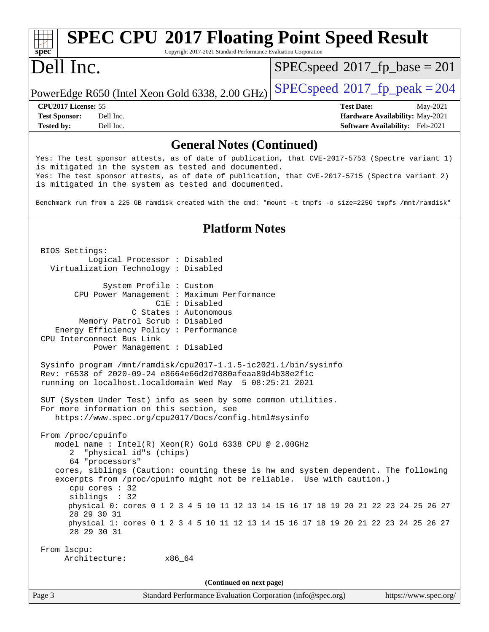#### Page 3 Standard Performance Evaluation Corporation [\(info@spec.org\)](mailto:info@spec.org) <https://www.spec.org/> **[spec](http://www.spec.org/) [SPEC CPU](http://www.spec.org/auto/cpu2017/Docs/result-fields.html#SPECCPU2017FloatingPointSpeedResult)[2017 Floating Point Speed Result](http://www.spec.org/auto/cpu2017/Docs/result-fields.html#SPECCPU2017FloatingPointSpeedResult)** Copyright 2017-2021 Standard Performance Evaluation Corporation Dell Inc. PowerEdge R650 (Intel Xeon Gold 6338, 2.00 GHz)  $\left|$  [SPECspeed](http://www.spec.org/auto/cpu2017/Docs/result-fields.html#SPECspeed2017fppeak)<sup>®</sup>[2017\\_fp\\_peak = 2](http://www.spec.org/auto/cpu2017/Docs/result-fields.html#SPECspeed2017fppeak)04 [SPECspeed](http://www.spec.org/auto/cpu2017/Docs/result-fields.html#SPECspeed2017fpbase)<sup>®</sup>2017 fp base = 201 **[CPU2017 License:](http://www.spec.org/auto/cpu2017/Docs/result-fields.html#CPU2017License)** 55 **[Test Date:](http://www.spec.org/auto/cpu2017/Docs/result-fields.html#TestDate)** May-2021 **[Test Sponsor:](http://www.spec.org/auto/cpu2017/Docs/result-fields.html#TestSponsor)** Dell Inc. **[Hardware Availability:](http://www.spec.org/auto/cpu2017/Docs/result-fields.html#HardwareAvailability)** May-2021 **[Tested by:](http://www.spec.org/auto/cpu2017/Docs/result-fields.html#Testedby)** Dell Inc. **[Software Availability:](http://www.spec.org/auto/cpu2017/Docs/result-fields.html#SoftwareAvailability)** Feb-2021 **[General Notes \(Continued\)](http://www.spec.org/auto/cpu2017/Docs/result-fields.html#GeneralNotes)** Yes: The test sponsor attests, as of date of publication, that CVE-2017-5753 (Spectre variant 1) is mitigated in the system as tested and documented. Yes: The test sponsor attests, as of date of publication, that CVE-2017-5715 (Spectre variant 2) is mitigated in the system as tested and documented. Benchmark run from a 225 GB ramdisk created with the cmd: "mount -t tmpfs -o size=225G tmpfs /mnt/ramdisk" **[Platform Notes](http://www.spec.org/auto/cpu2017/Docs/result-fields.html#PlatformNotes)** BIOS Settings: Logical Processor : Disabled Virtualization Technology : Disabled System Profile : Custom CPU Power Management : Maximum Performance C1E : Disabled C States : Autonomous Memory Patrol Scrub : Disabled Energy Efficiency Policy : Performance CPU Interconnect Bus Link Power Management : Disabled Sysinfo program /mnt/ramdisk/cpu2017-1.1.5-ic2021.1/bin/sysinfo Rev: r6538 of 2020-09-24 e8664e66d2d7080afeaa89d4b38e2f1c running on localhost.localdomain Wed May 5 08:25:21 2021 SUT (System Under Test) info as seen by some common utilities. For more information on this section, see <https://www.spec.org/cpu2017/Docs/config.html#sysinfo> From /proc/cpuinfo model name : Intel(R) Xeon(R) Gold 6338 CPU @ 2.00GHz 2 "physical id"s (chips) 64 "processors" cores, siblings (Caution: counting these is hw and system dependent. The following excerpts from /proc/cpuinfo might not be reliable. Use with caution.) cpu cores : 32 siblings : 32 physical 0: cores 0 1 2 3 4 5 10 11 12 13 14 15 16 17 18 19 20 21 22 23 24 25 26 27 28 29 30 31 physical 1: cores 0 1 2 3 4 5 10 11 12 13 14 15 16 17 18 19 20 21 22 23 24 25 26 27 28 29 30 31 From lscpu: Architecture: x86\_64 **(Continued on next page)**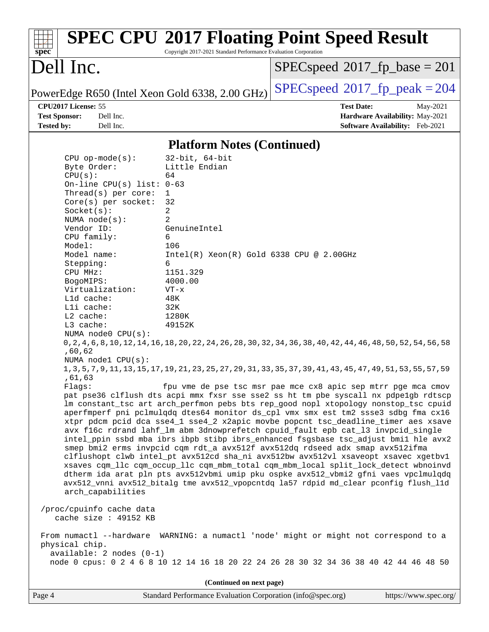| spec <sup>®</sup>                                                                                                                                                                                                                                                                                                                                                                                                                                                                                                                                                                                                                                                                                                       | Copyright 2017-2021 Standard Performance Evaluation Corporation                                                                                                                                                        | <b>SPEC CPU®2017 Floating Point Speed Result</b>                                                                                                                                                                                                                                                                                                                                                                                                                                                                                                                                                                                                                                                                                                                                                                                                                                                                                                                                                                                                                                                                                                                                                                                                                                       |                                                                                |
|-------------------------------------------------------------------------------------------------------------------------------------------------------------------------------------------------------------------------------------------------------------------------------------------------------------------------------------------------------------------------------------------------------------------------------------------------------------------------------------------------------------------------------------------------------------------------------------------------------------------------------------------------------------------------------------------------------------------------|------------------------------------------------------------------------------------------------------------------------------------------------------------------------------------------------------------------------|----------------------------------------------------------------------------------------------------------------------------------------------------------------------------------------------------------------------------------------------------------------------------------------------------------------------------------------------------------------------------------------------------------------------------------------------------------------------------------------------------------------------------------------------------------------------------------------------------------------------------------------------------------------------------------------------------------------------------------------------------------------------------------------------------------------------------------------------------------------------------------------------------------------------------------------------------------------------------------------------------------------------------------------------------------------------------------------------------------------------------------------------------------------------------------------------------------------------------------------------------------------------------------------|--------------------------------------------------------------------------------|
| Dell Inc.                                                                                                                                                                                                                                                                                                                                                                                                                                                                                                                                                                                                                                                                                                               |                                                                                                                                                                                                                        | $SPEC speed^{\circ}2017\_fp\_base = 201$                                                                                                                                                                                                                                                                                                                                                                                                                                                                                                                                                                                                                                                                                                                                                                                                                                                                                                                                                                                                                                                                                                                                                                                                                                               |                                                                                |
| PowerEdge R650 (Intel Xeon Gold 6338, 2.00 GHz)                                                                                                                                                                                                                                                                                                                                                                                                                                                                                                                                                                                                                                                                         |                                                                                                                                                                                                                        | $SPEC speed^{\circ}2017$ fp peak = 204                                                                                                                                                                                                                                                                                                                                                                                                                                                                                                                                                                                                                                                                                                                                                                                                                                                                                                                                                                                                                                                                                                                                                                                                                                                 |                                                                                |
| CPU2017 License: 55<br><b>Test Sponsor:</b><br>Dell Inc.<br><b>Tested by:</b><br>Dell Inc.                                                                                                                                                                                                                                                                                                                                                                                                                                                                                                                                                                                                                              |                                                                                                                                                                                                                        | <b>Test Date:</b>                                                                                                                                                                                                                                                                                                                                                                                                                                                                                                                                                                                                                                                                                                                                                                                                                                                                                                                                                                                                                                                                                                                                                                                                                                                                      | May-2021<br>Hardware Availability: May-2021<br>Software Availability: Feb-2021 |
|                                                                                                                                                                                                                                                                                                                                                                                                                                                                                                                                                                                                                                                                                                                         | <b>Platform Notes (Continued)</b>                                                                                                                                                                                      |                                                                                                                                                                                                                                                                                                                                                                                                                                                                                                                                                                                                                                                                                                                                                                                                                                                                                                                                                                                                                                                                                                                                                                                                                                                                                        |                                                                                |
| $CPU$ op-mode( $s$ ):<br>Byte Order:<br>CPU(s):<br>On-line CPU(s) list: $0-63$<br>Thread(s) per core:<br>Core(s) per socket:<br>Socket(s):<br>NUMA $node(s):$<br>Vendor ID:<br>CPU family:<br>Model:<br>Model name:<br>Stepping:<br>CPU MHz:<br>BogoMIPS:<br>Virtualization:<br>L1d cache:<br>Lli cache:<br>L2 cache:<br>L3 cache:<br>NUMA node0 CPU(s):<br>,60,62<br>NUMA nodel CPU(s):<br>,61,63<br>Flags:<br>arch_capabilities<br>/proc/cpuinfo cache data<br>cache size : 49152 KB<br>From numactl --hardware WARNING: a numactl 'node' might or might not correspond to a<br>physical chip.<br>$available: 2 nodes (0-1)$<br>node 0 cpus: 0 2 4 6 8 10 12 14 16 18 20 22 24 26 28 30 32 34 36 38 40 42 44 46 48 50 | $32$ -bit, $64$ -bit<br>Little Endian<br>64<br>1<br>32<br>2<br>2<br>GenuineIntel<br>6<br>106<br>$Intel(R)$ Xeon $(R)$ Gold 6338 CPU @ 2.00GHz<br>6<br>1151.329<br>4000.00<br>$VT - x$<br>48K<br>32K<br>1280K<br>49152K | 0, 2, 4, 6, 8, 10, 12, 14, 16, 18, 20, 22, 24, 26, 28, 30, 32, 34, 36, 38, 40, 42, 44, 46, 48, 50, 52, 54, 56, 58<br>1, 3, 5, 7, 9, 11, 13, 15, 17, 19, 21, 23, 25, 27, 29, 31, 33, 35, 37, 39, 41, 43, 45, 47, 49, 51, 53, 55, 57, 59<br>fpu vme de pse tsc msr pae mce cx8 apic sep mtrr pge mca cmov<br>pat pse36 clflush dts acpi mmx fxsr sse sse2 ss ht tm pbe syscall nx pdpelgb rdtscp<br>lm constant_tsc art arch_perfmon pebs bts rep_good nopl xtopology nonstop_tsc cpuid<br>aperfmperf pni pclmulqdq dtes64 monitor ds_cpl vmx smx est tm2 ssse3 sdbg fma cx16<br>xtpr pdcm pcid dca sse4_1 sse4_2 x2apic movbe popcnt tsc_deadline_timer aes xsave<br>avx f16c rdrand lahf_lm abm 3dnowprefetch cpuid_fault epb cat_13 invpcid_single<br>intel_ppin ssbd mba ibrs ibpb stibp ibrs_enhanced fsgsbase tsc_adjust bmil hle avx2<br>smep bmi2 erms invpcid cqm rdt_a avx512f avx512dq rdseed adx smap avx512ifma<br>clflushopt clwb intel_pt avx512cd sha_ni avx512bw avx512vl xsaveopt xsavec xgetbvl<br>xsaves cqm_llc cqm_occup_llc cqm_mbm_total cqm_mbm_local split_lock_detect wbnoinvd<br>dtherm ida arat pln pts avx512vbmi umip pku ospke avx512_vbmi2 gfni vaes vpclmulqdq<br>avx512_vnni avx512_bitalg tme avx512_vpopcntdq la57 rdpid md_clear pconfig flush_11d |                                                                                |
|                                                                                                                                                                                                                                                                                                                                                                                                                                                                                                                                                                                                                                                                                                                         | (Continued on next page)                                                                                                                                                                                               |                                                                                                                                                                                                                                                                                                                                                                                                                                                                                                                                                                                                                                                                                                                                                                                                                                                                                                                                                                                                                                                                                                                                                                                                                                                                                        |                                                                                |
| Page 4                                                                                                                                                                                                                                                                                                                                                                                                                                                                                                                                                                                                                                                                                                                  | Standard Performance Evaluation Corporation (info@spec.org)                                                                                                                                                            |                                                                                                                                                                                                                                                                                                                                                                                                                                                                                                                                                                                                                                                                                                                                                                                                                                                                                                                                                                                                                                                                                                                                                                                                                                                                                        | https://www.spec.org/                                                          |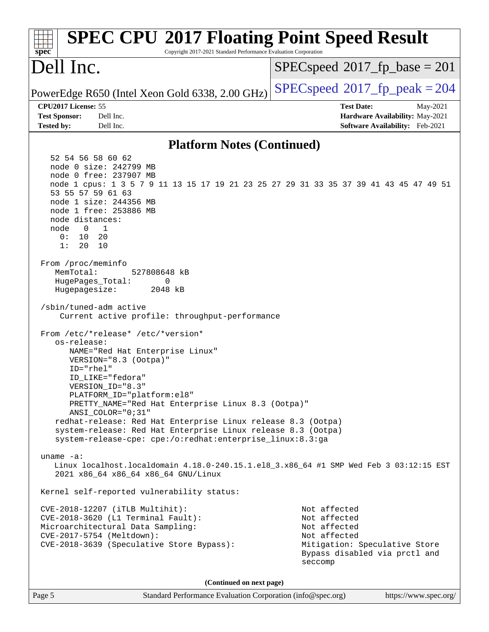| <b>SPEC CPU®2017 Floating Point Speed Result</b><br>Copyright 2017-2021 Standard Performance Evaluation Corporation<br>spec <sup>®</sup>                                                                                                                                                                                                                                                                                                                                                                                                                                                                                                                                                                                                                                                                                                                                                                                                                                                                                                                                                                                                                                                                                                                                                                                                                                          |                                                                                                                                           |                       |
|-----------------------------------------------------------------------------------------------------------------------------------------------------------------------------------------------------------------------------------------------------------------------------------------------------------------------------------------------------------------------------------------------------------------------------------------------------------------------------------------------------------------------------------------------------------------------------------------------------------------------------------------------------------------------------------------------------------------------------------------------------------------------------------------------------------------------------------------------------------------------------------------------------------------------------------------------------------------------------------------------------------------------------------------------------------------------------------------------------------------------------------------------------------------------------------------------------------------------------------------------------------------------------------------------------------------------------------------------------------------------------------|-------------------------------------------------------------------------------------------------------------------------------------------|-----------------------|
| Dell Inc.                                                                                                                                                                                                                                                                                                                                                                                                                                                                                                                                                                                                                                                                                                                                                                                                                                                                                                                                                                                                                                                                                                                                                                                                                                                                                                                                                                         | $SPEC speed^{\circ}2017$ _fp_base = 201                                                                                                   |                       |
| PowerEdge R650 (Intel Xeon Gold 6338, 2.00 GHz)                                                                                                                                                                                                                                                                                                                                                                                                                                                                                                                                                                                                                                                                                                                                                                                                                                                                                                                                                                                                                                                                                                                                                                                                                                                                                                                                   | $SPEC speed^{\circ}2017$ _fp_peak = 204                                                                                                   |                       |
| CPU2017 License: 55<br><b>Test Sponsor:</b><br>Dell Inc.                                                                                                                                                                                                                                                                                                                                                                                                                                                                                                                                                                                                                                                                                                                                                                                                                                                                                                                                                                                                                                                                                                                                                                                                                                                                                                                          | <b>Test Date:</b><br>Hardware Availability: May-2021                                                                                      | May-2021              |
| <b>Tested by:</b><br>Dell Inc.                                                                                                                                                                                                                                                                                                                                                                                                                                                                                                                                                                                                                                                                                                                                                                                                                                                                                                                                                                                                                                                                                                                                                                                                                                                                                                                                                    | Software Availability: Feb-2021                                                                                                           |                       |
| <b>Platform Notes (Continued)</b>                                                                                                                                                                                                                                                                                                                                                                                                                                                                                                                                                                                                                                                                                                                                                                                                                                                                                                                                                                                                                                                                                                                                                                                                                                                                                                                                                 |                                                                                                                                           |                       |
| 52 54 56 58 60 62<br>node 0 size: 242799 MB<br>node 0 free: 237907 MB<br>node 1 cpus: 1 3 5 7 9 11 13 15 17 19 21 23 25 27 29 31 33 35 37 39 41 43 45 47 49 51<br>53 55 57 59 61 63<br>node 1 size: 244356 MB<br>node 1 free: 253886 MB<br>node distances:<br>node<br>$\mathbf 0$<br>1<br>0:<br>10<br>20<br>1:<br>20<br>10<br>From /proc/meminfo<br>MemTotal:<br>527808648 kB<br>HugePages_Total:<br>0<br>Hugepagesize:<br>2048 kB<br>/sbin/tuned-adm active<br>Current active profile: throughput-performance<br>From /etc/*release* /etc/*version*<br>os-release:<br>NAME="Red Hat Enterprise Linux"<br>VERSION="8.3 (Ootpa)"<br>ID="rhel"<br>ID LIKE="fedora"<br>VERSION_ID="8.3"<br>PLATFORM_ID="platform:el8"<br>PRETTY_NAME="Red Hat Enterprise Linux 8.3 (Ootpa)"<br>ANSI COLOR="0;31"<br>redhat-release: Red Hat Enterprise Linux release 8.3 (Ootpa)<br>system-release: Red Hat Enterprise Linux release 8.3 (Ootpa)<br>system-release-cpe: cpe:/o:redhat:enterprise_linux:8.3:ga<br>uname $-a$ :<br>Linux localhost.localdomain 4.18.0-240.15.1.el8_3.x86_64 #1 SMP Wed Feb 3 03:12:15 EST<br>2021 x86_64 x86_64 x86_64 GNU/Linux<br>Kernel self-reported vulnerability status:<br>CVE-2018-12207 (iTLB Multihit):<br>CVE-2018-3620 (L1 Terminal Fault):<br>Microarchitectural Data Sampling:<br>CVE-2017-5754 (Meltdown):<br>CVE-2018-3639 (Speculative Store Bypass): | Not affected<br>Not affected<br>Not affected<br>Not affected<br>Mitigation: Speculative Store<br>Bypass disabled via prctl and<br>seccomp |                       |
| (Continued on next page)                                                                                                                                                                                                                                                                                                                                                                                                                                                                                                                                                                                                                                                                                                                                                                                                                                                                                                                                                                                                                                                                                                                                                                                                                                                                                                                                                          |                                                                                                                                           |                       |
| Page 5<br>Standard Performance Evaluation Corporation (info@spec.org)                                                                                                                                                                                                                                                                                                                                                                                                                                                                                                                                                                                                                                                                                                                                                                                                                                                                                                                                                                                                                                                                                                                                                                                                                                                                                                             |                                                                                                                                           | https://www.spec.org/ |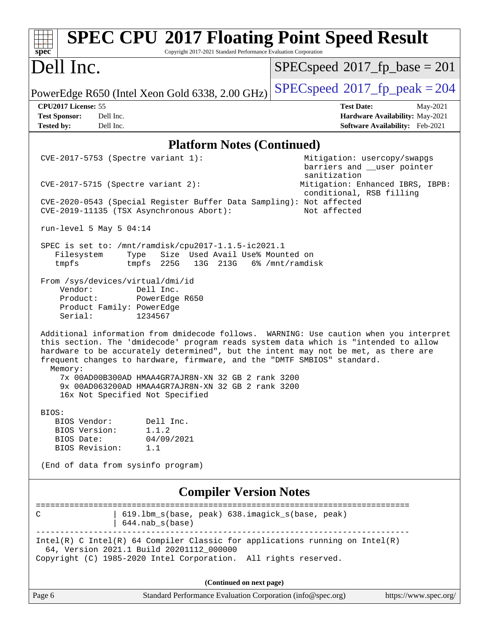| Dell Inc.<br>$SPEC speed^{\circ}2017$ fp base = 201<br>$SPEC speed^{\circ}2017$ fp peak = 204<br>PowerEdge R650 (Intel Xeon Gold 6338, 2.00 GHz)<br>CPU2017 License: 55<br><b>Test Date:</b><br>May-2021<br>Dell Inc.<br><b>Test Sponsor:</b><br>Hardware Availability: May-2021<br>Dell Inc.<br>Software Availability: Feb-2021<br><b>Tested by:</b><br><b>Platform Notes (Continued)</b><br>CVE-2017-5753 (Spectre variant 1):<br>Mitigation: usercopy/swapgs<br>barriers and __user pointer<br>sanitization<br>Mitigation: Enhanced IBRS, IBPB:<br>$CVE-2017-5715$ (Spectre variant 2):<br>conditional, RSB filling<br>CVE-2020-0543 (Special Register Buffer Data Sampling): Not affected<br>CVE-2019-11135 (TSX Asynchronous Abort):<br>Not affected<br>run-level 5 May 5 $04:14$<br>SPEC is set to: /mnt/ramdisk/cpu2017-1.1.5-ic2021.1<br>Size Used Avail Use% Mounted on<br>Filesystem<br>Type<br>tmpfs<br>tmpfs 225G<br>13G 213G<br>6% /mnt/ramdisk<br>From /sys/devices/virtual/dmi/id<br>Vendor:<br>Dell Inc.<br>Product:<br>PowerEdge R650<br>Product Family: PowerEdge<br>Serial:<br>1234567<br>Additional information from dmidecode follows. WARNING: Use caution when you interpret<br>this section. The 'dmidecode' program reads system data which is "intended to allow<br>hardware to be accurately determined", but the intent may not be met, as there are<br>frequent changes to hardware, firmware, and the "DMTF SMBIOS" standard.<br>Memory:<br>7x 00AD00B300AD HMAA4GR7AJR8N-XN 32 GB 2 rank 3200<br>9x 00AD063200AD HMAA4GR7AJR8N-XN 32 GB 2 rank 3200<br>16x Not Specified Not Specified<br>BIOS:<br>Dell Inc.<br>BIOS Vendor:<br>BIOS Version:<br>1.1.2<br>04/09/2021<br>BIOS Date:<br>BIOS Revision:<br>1.1<br>(End of data from sysinfo program)<br><b>Compiler Version Notes</b><br>=======================<br>619.1bm_s(base, peak) 638.imagick_s(base, peak)<br>C<br>$644.nab_s(base)$<br>---------------<br>$Intel(R)$ C Intel(R) 64 Compiler Classic for applications running on Intel(R)<br>64, Version 2021.1 Build 20201112_000000<br>Copyright (C) 1985-2020 Intel Corporation. All rights reserved.<br>(Continued on next page)<br>https://www.spec.org/<br>Page 6<br>Standard Performance Evaluation Corporation (info@spec.org) | <b>SPEC CPU®2017 Floating Point Speed Result</b><br>Copyright 2017-2021 Standard Performance Evaluation Corporation<br>$spec^*$ |  |  |
|-----------------------------------------------------------------------------------------------------------------------------------------------------------------------------------------------------------------------------------------------------------------------------------------------------------------------------------------------------------------------------------------------------------------------------------------------------------------------------------------------------------------------------------------------------------------------------------------------------------------------------------------------------------------------------------------------------------------------------------------------------------------------------------------------------------------------------------------------------------------------------------------------------------------------------------------------------------------------------------------------------------------------------------------------------------------------------------------------------------------------------------------------------------------------------------------------------------------------------------------------------------------------------------------------------------------------------------------------------------------------------------------------------------------------------------------------------------------------------------------------------------------------------------------------------------------------------------------------------------------------------------------------------------------------------------------------------------------------------------------------------------------------------------------------------------------------------------------------------------------------------------------------------------------------------------------------------------------------------------------------------------------------------------------------------------------------------------------------------------------------------------------------------------------------------------------------------------------------------------------------------------------------------|---------------------------------------------------------------------------------------------------------------------------------|--|--|
|                                                                                                                                                                                                                                                                                                                                                                                                                                                                                                                                                                                                                                                                                                                                                                                                                                                                                                                                                                                                                                                                                                                                                                                                                                                                                                                                                                                                                                                                                                                                                                                                                                                                                                                                                                                                                                                                                                                                                                                                                                                                                                                                                                                                                                                                             |                                                                                                                                 |  |  |
|                                                                                                                                                                                                                                                                                                                                                                                                                                                                                                                                                                                                                                                                                                                                                                                                                                                                                                                                                                                                                                                                                                                                                                                                                                                                                                                                                                                                                                                                                                                                                                                                                                                                                                                                                                                                                                                                                                                                                                                                                                                                                                                                                                                                                                                                             |                                                                                                                                 |  |  |
|                                                                                                                                                                                                                                                                                                                                                                                                                                                                                                                                                                                                                                                                                                                                                                                                                                                                                                                                                                                                                                                                                                                                                                                                                                                                                                                                                                                                                                                                                                                                                                                                                                                                                                                                                                                                                                                                                                                                                                                                                                                                                                                                                                                                                                                                             |                                                                                                                                 |  |  |
|                                                                                                                                                                                                                                                                                                                                                                                                                                                                                                                                                                                                                                                                                                                                                                                                                                                                                                                                                                                                                                                                                                                                                                                                                                                                                                                                                                                                                                                                                                                                                                                                                                                                                                                                                                                                                                                                                                                                                                                                                                                                                                                                                                                                                                                                             |                                                                                                                                 |  |  |
|                                                                                                                                                                                                                                                                                                                                                                                                                                                                                                                                                                                                                                                                                                                                                                                                                                                                                                                                                                                                                                                                                                                                                                                                                                                                                                                                                                                                                                                                                                                                                                                                                                                                                                                                                                                                                                                                                                                                                                                                                                                                                                                                                                                                                                                                             |                                                                                                                                 |  |  |
|                                                                                                                                                                                                                                                                                                                                                                                                                                                                                                                                                                                                                                                                                                                                                                                                                                                                                                                                                                                                                                                                                                                                                                                                                                                                                                                                                                                                                                                                                                                                                                                                                                                                                                                                                                                                                                                                                                                                                                                                                                                                                                                                                                                                                                                                             |                                                                                                                                 |  |  |
|                                                                                                                                                                                                                                                                                                                                                                                                                                                                                                                                                                                                                                                                                                                                                                                                                                                                                                                                                                                                                                                                                                                                                                                                                                                                                                                                                                                                                                                                                                                                                                                                                                                                                                                                                                                                                                                                                                                                                                                                                                                                                                                                                                                                                                                                             |                                                                                                                                 |  |  |
|                                                                                                                                                                                                                                                                                                                                                                                                                                                                                                                                                                                                                                                                                                                                                                                                                                                                                                                                                                                                                                                                                                                                                                                                                                                                                                                                                                                                                                                                                                                                                                                                                                                                                                                                                                                                                                                                                                                                                                                                                                                                                                                                                                                                                                                                             |                                                                                                                                 |  |  |
|                                                                                                                                                                                                                                                                                                                                                                                                                                                                                                                                                                                                                                                                                                                                                                                                                                                                                                                                                                                                                                                                                                                                                                                                                                                                                                                                                                                                                                                                                                                                                                                                                                                                                                                                                                                                                                                                                                                                                                                                                                                                                                                                                                                                                                                                             |                                                                                                                                 |  |  |
|                                                                                                                                                                                                                                                                                                                                                                                                                                                                                                                                                                                                                                                                                                                                                                                                                                                                                                                                                                                                                                                                                                                                                                                                                                                                                                                                                                                                                                                                                                                                                                                                                                                                                                                                                                                                                                                                                                                                                                                                                                                                                                                                                                                                                                                                             |                                                                                                                                 |  |  |
|                                                                                                                                                                                                                                                                                                                                                                                                                                                                                                                                                                                                                                                                                                                                                                                                                                                                                                                                                                                                                                                                                                                                                                                                                                                                                                                                                                                                                                                                                                                                                                                                                                                                                                                                                                                                                                                                                                                                                                                                                                                                                                                                                                                                                                                                             |                                                                                                                                 |  |  |
|                                                                                                                                                                                                                                                                                                                                                                                                                                                                                                                                                                                                                                                                                                                                                                                                                                                                                                                                                                                                                                                                                                                                                                                                                                                                                                                                                                                                                                                                                                                                                                                                                                                                                                                                                                                                                                                                                                                                                                                                                                                                                                                                                                                                                                                                             |                                                                                                                                 |  |  |
|                                                                                                                                                                                                                                                                                                                                                                                                                                                                                                                                                                                                                                                                                                                                                                                                                                                                                                                                                                                                                                                                                                                                                                                                                                                                                                                                                                                                                                                                                                                                                                                                                                                                                                                                                                                                                                                                                                                                                                                                                                                                                                                                                                                                                                                                             |                                                                                                                                 |  |  |
|                                                                                                                                                                                                                                                                                                                                                                                                                                                                                                                                                                                                                                                                                                                                                                                                                                                                                                                                                                                                                                                                                                                                                                                                                                                                                                                                                                                                                                                                                                                                                                                                                                                                                                                                                                                                                                                                                                                                                                                                                                                                                                                                                                                                                                                                             |                                                                                                                                 |  |  |
|                                                                                                                                                                                                                                                                                                                                                                                                                                                                                                                                                                                                                                                                                                                                                                                                                                                                                                                                                                                                                                                                                                                                                                                                                                                                                                                                                                                                                                                                                                                                                                                                                                                                                                                                                                                                                                                                                                                                                                                                                                                                                                                                                                                                                                                                             |                                                                                                                                 |  |  |
|                                                                                                                                                                                                                                                                                                                                                                                                                                                                                                                                                                                                                                                                                                                                                                                                                                                                                                                                                                                                                                                                                                                                                                                                                                                                                                                                                                                                                                                                                                                                                                                                                                                                                                                                                                                                                                                                                                                                                                                                                                                                                                                                                                                                                                                                             |                                                                                                                                 |  |  |
|                                                                                                                                                                                                                                                                                                                                                                                                                                                                                                                                                                                                                                                                                                                                                                                                                                                                                                                                                                                                                                                                                                                                                                                                                                                                                                                                                                                                                                                                                                                                                                                                                                                                                                                                                                                                                                                                                                                                                                                                                                                                                                                                                                                                                                                                             |                                                                                                                                 |  |  |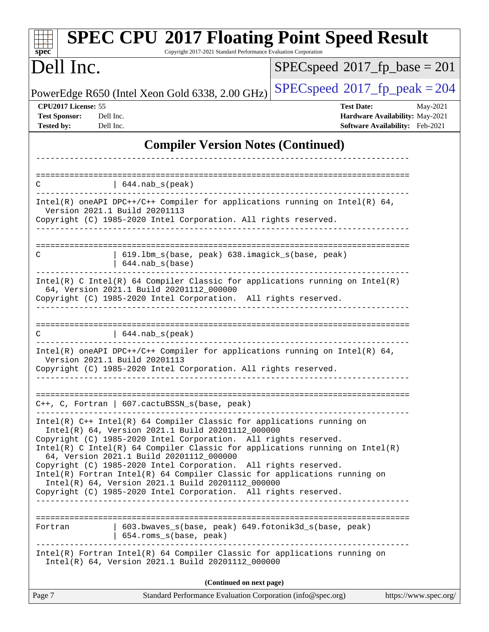| <b>SPEC CPU®2017 Floating Point Speed Result</b><br>Copyright 2017-2021 Standard Performance Evaluation Corporation<br>$spec^*$                                                                                                                                                                                                                                                                                                                                                                                                                                                                       |                                                                                                            |  |  |
|-------------------------------------------------------------------------------------------------------------------------------------------------------------------------------------------------------------------------------------------------------------------------------------------------------------------------------------------------------------------------------------------------------------------------------------------------------------------------------------------------------------------------------------------------------------------------------------------------------|------------------------------------------------------------------------------------------------------------|--|--|
| Dell Inc.                                                                                                                                                                                                                                                                                                                                                                                                                                                                                                                                                                                             | $SPEC speed^{\circ}2017$ fp base = 201                                                                     |  |  |
| PowerEdge R650 (Intel Xeon Gold 6338, 2.00 GHz)                                                                                                                                                                                                                                                                                                                                                                                                                                                                                                                                                       | $SPEC speed^{\circ}2017$ fp peak = 204                                                                     |  |  |
| CPU2017 License: 55<br><b>Test Sponsor:</b><br>Dell Inc.<br><b>Tested by:</b><br>Dell Inc.                                                                                                                                                                                                                                                                                                                                                                                                                                                                                                            | <b>Test Date:</b><br>May-2021<br>Hardware Availability: May-2021<br><b>Software Availability:</b> Feb-2021 |  |  |
| <b>Compiler Version Notes (Continued)</b>                                                                                                                                                                                                                                                                                                                                                                                                                                                                                                                                                             |                                                                                                            |  |  |
|                                                                                                                                                                                                                                                                                                                                                                                                                                                                                                                                                                                                       | ==================================                                                                         |  |  |
| $644.nab_s(peak)$<br>С                                                                                                                                                                                                                                                                                                                                                                                                                                                                                                                                                                                |                                                                                                            |  |  |
| Intel(R) oneAPI DPC++/C++ Compiler for applications running on Intel(R) 64,<br>Version 2021.1 Build 20201113<br>Copyright (C) 1985-2020 Intel Corporation. All rights reserved.                                                                                                                                                                                                                                                                                                                                                                                                                       |                                                                                                            |  |  |
| 619.1bm_s(base, peak) 638.imagick_s(base, peak)<br>C<br>$644.nab_s(base)$                                                                                                                                                                                                                                                                                                                                                                                                                                                                                                                             |                                                                                                            |  |  |
| $Intel(R)$ C Intel(R) 64 Compiler Classic for applications running on Intel(R)<br>64, Version 2021.1 Build 20201112_000000<br>Copyright (C) 1985-2020 Intel Corporation. All rights reserved.                                                                                                                                                                                                                                                                                                                                                                                                         |                                                                                                            |  |  |
| 644.nab_s(peak)<br>C                                                                                                                                                                                                                                                                                                                                                                                                                                                                                                                                                                                  |                                                                                                            |  |  |
| Intel(R) oneAPI DPC++/C++ Compiler for applications running on Intel(R) $64$ ,<br>Version 2021.1 Build 20201113<br>Copyright (C) 1985-2020 Intel Corporation. All rights reserved.                                                                                                                                                                                                                                                                                                                                                                                                                    |                                                                                                            |  |  |
| $C++$ , C, Fortran   607.cactuBSSN_s(base, peak)                                                                                                                                                                                                                                                                                                                                                                                                                                                                                                                                                      |                                                                                                            |  |  |
| $Intel(R)$ C++ Intel(R) 64 Compiler Classic for applications running on<br>Intel(R) 64, Version 2021.1 Build 20201112 000000<br>Copyright (C) 1985-2020 Intel Corporation. All rights reserved.<br>$Intel(R)$ C Intel(R) 64 Compiler Classic for applications running on Intel(R)<br>64, Version 2021.1 Build 20201112_000000<br>Copyright (C) 1985-2020 Intel Corporation. All rights reserved.<br>Intel(R) Fortran Intel(R) 64 Compiler Classic for applications running on<br>Intel(R) 64, Version 2021.1 Build 20201112_000000<br>Copyright (C) 1985-2020 Intel Corporation. All rights reserved. |                                                                                                            |  |  |
| 603.bwaves_s(base, peak) 649.fotonik3d_s(base, peak)<br>Fortran<br>654.roms_s(base, peak)                                                                                                                                                                                                                                                                                                                                                                                                                                                                                                             |                                                                                                            |  |  |
| Intel(R) Fortran Intel(R) 64 Compiler Classic for applications running on<br>Intel(R) 64, Version 2021.1 Build 20201112_000000                                                                                                                                                                                                                                                                                                                                                                                                                                                                        |                                                                                                            |  |  |
| (Continued on next page)                                                                                                                                                                                                                                                                                                                                                                                                                                                                                                                                                                              |                                                                                                            |  |  |
| Page 7<br>Standard Performance Evaluation Corporation (info@spec.org)                                                                                                                                                                                                                                                                                                                                                                                                                                                                                                                                 | https://www.spec.org/                                                                                      |  |  |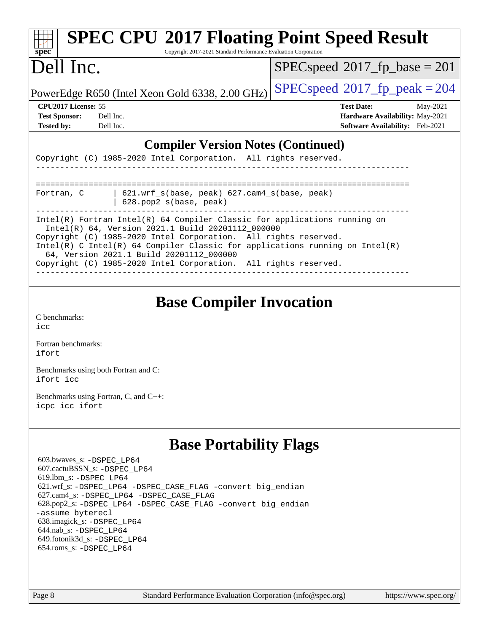| <b>SPEC CPU®2017 Floating Point Speed Result</b>                                                                                                                                                                                                                                                                                                                                                 |                                        |  |  |
|--------------------------------------------------------------------------------------------------------------------------------------------------------------------------------------------------------------------------------------------------------------------------------------------------------------------------------------------------------------------------------------------------|----------------------------------------|--|--|
| $spec^*$<br>Copyright 2017-2021 Standard Performance Evaluation Corporation                                                                                                                                                                                                                                                                                                                      |                                        |  |  |
| Dell Inc.                                                                                                                                                                                                                                                                                                                                                                                        | $SPEC speed^{\circ}2017$ fp base = 201 |  |  |
| PowerEdge R650 (Intel Xeon Gold 6338, 2.00 GHz)                                                                                                                                                                                                                                                                                                                                                  | $SPEC speed^{\circ}2017$ fp peak = 204 |  |  |
| CPU <sub>2017</sub> License: 55                                                                                                                                                                                                                                                                                                                                                                  | <b>Test Date:</b><br>May-2021          |  |  |
| <b>Test Sponsor:</b><br>Dell Inc.                                                                                                                                                                                                                                                                                                                                                                | <b>Hardware Availability: May-2021</b> |  |  |
| <b>Tested by:</b><br>Dell Inc.                                                                                                                                                                                                                                                                                                                                                                   | Software Availability: Feb-2021        |  |  |
| <b>Compiler Version Notes (Continued)</b><br>Copyright (C) 1985-2020 Intel Corporation. All rights reserved.                                                                                                                                                                                                                                                                                     |                                        |  |  |
| 621.wrf_s(base, peak) 627.cam4_s(base, peak)<br>Fortran, C<br>$628.$ pop $2 s(base, peak)$                                                                                                                                                                                                                                                                                                       |                                        |  |  |
| Intel(R) Fortran Intel(R) 64 Compiler Classic for applications running on<br>Intel(R) 64, Version 2021.1 Build 20201112_000000<br>Copyright (C) 1985-2020 Intel Corporation. All rights reserved.<br>Intel(R) C Intel(R) 64 Compiler Classic for applications running on Intel(R)<br>64, Version 2021.1 Build 20201112_000000<br>Copyright (C) 1985-2020 Intel Corporation. All rights reserved. |                                        |  |  |

## **[Base Compiler Invocation](http://www.spec.org/auto/cpu2017/Docs/result-fields.html#BaseCompilerInvocation)**

[C benchmarks](http://www.spec.org/auto/cpu2017/Docs/result-fields.html#Cbenchmarks): [icc](http://www.spec.org/cpu2017/results/res2021q2/cpu2017-20210524-26532.flags.html#user_CCbase_intel_icc_66fc1ee009f7361af1fbd72ca7dcefbb700085f36577c54f309893dd4ec40d12360134090235512931783d35fd58c0460139e722d5067c5574d8eaf2b3e37e92)

[Fortran benchmarks](http://www.spec.org/auto/cpu2017/Docs/result-fields.html#Fortranbenchmarks): [ifort](http://www.spec.org/cpu2017/results/res2021q2/cpu2017-20210524-26532.flags.html#user_FCbase_intel_ifort_8111460550e3ca792625aed983ce982f94888b8b503583aa7ba2b8303487b4d8a21a13e7191a45c5fd58ff318f48f9492884d4413fa793fd88dd292cad7027ca)

[Benchmarks using both Fortran and C](http://www.spec.org/auto/cpu2017/Docs/result-fields.html#BenchmarksusingbothFortranandC): [ifort](http://www.spec.org/cpu2017/results/res2021q2/cpu2017-20210524-26532.flags.html#user_CC_FCbase_intel_ifort_8111460550e3ca792625aed983ce982f94888b8b503583aa7ba2b8303487b4d8a21a13e7191a45c5fd58ff318f48f9492884d4413fa793fd88dd292cad7027ca) [icc](http://www.spec.org/cpu2017/results/res2021q2/cpu2017-20210524-26532.flags.html#user_CC_FCbase_intel_icc_66fc1ee009f7361af1fbd72ca7dcefbb700085f36577c54f309893dd4ec40d12360134090235512931783d35fd58c0460139e722d5067c5574d8eaf2b3e37e92)

[Benchmarks using Fortran, C, and C++:](http://www.spec.org/auto/cpu2017/Docs/result-fields.html#BenchmarksusingFortranCandCXX) [icpc](http://www.spec.org/cpu2017/results/res2021q2/cpu2017-20210524-26532.flags.html#user_CC_CXX_FCbase_intel_icpc_c510b6838c7f56d33e37e94d029a35b4a7bccf4766a728ee175e80a419847e808290a9b78be685c44ab727ea267ec2f070ec5dc83b407c0218cded6866a35d07) [icc](http://www.spec.org/cpu2017/results/res2021q2/cpu2017-20210524-26532.flags.html#user_CC_CXX_FCbase_intel_icc_66fc1ee009f7361af1fbd72ca7dcefbb700085f36577c54f309893dd4ec40d12360134090235512931783d35fd58c0460139e722d5067c5574d8eaf2b3e37e92) [ifort](http://www.spec.org/cpu2017/results/res2021q2/cpu2017-20210524-26532.flags.html#user_CC_CXX_FCbase_intel_ifort_8111460550e3ca792625aed983ce982f94888b8b503583aa7ba2b8303487b4d8a21a13e7191a45c5fd58ff318f48f9492884d4413fa793fd88dd292cad7027ca)

## **[Base Portability Flags](http://www.spec.org/auto/cpu2017/Docs/result-fields.html#BasePortabilityFlags)**

 603.bwaves\_s: [-DSPEC\\_LP64](http://www.spec.org/cpu2017/results/res2021q2/cpu2017-20210524-26532.flags.html#suite_basePORTABILITY603_bwaves_s_DSPEC_LP64) 607.cactuBSSN\_s: [-DSPEC\\_LP64](http://www.spec.org/cpu2017/results/res2021q2/cpu2017-20210524-26532.flags.html#suite_basePORTABILITY607_cactuBSSN_s_DSPEC_LP64) 619.lbm\_s: [-DSPEC\\_LP64](http://www.spec.org/cpu2017/results/res2021q2/cpu2017-20210524-26532.flags.html#suite_basePORTABILITY619_lbm_s_DSPEC_LP64) 621.wrf\_s: [-DSPEC\\_LP64](http://www.spec.org/cpu2017/results/res2021q2/cpu2017-20210524-26532.flags.html#suite_basePORTABILITY621_wrf_s_DSPEC_LP64) [-DSPEC\\_CASE\\_FLAG](http://www.spec.org/cpu2017/results/res2021q2/cpu2017-20210524-26532.flags.html#b621.wrf_s_baseCPORTABILITY_DSPEC_CASE_FLAG) [-convert big\\_endian](http://www.spec.org/cpu2017/results/res2021q2/cpu2017-20210524-26532.flags.html#user_baseFPORTABILITY621_wrf_s_convert_big_endian_c3194028bc08c63ac5d04de18c48ce6d347e4e562e8892b8bdbdc0214820426deb8554edfa529a3fb25a586e65a3d812c835984020483e7e73212c4d31a38223) 627.cam4\_s: [-DSPEC\\_LP64](http://www.spec.org/cpu2017/results/res2021q2/cpu2017-20210524-26532.flags.html#suite_basePORTABILITY627_cam4_s_DSPEC_LP64) [-DSPEC\\_CASE\\_FLAG](http://www.spec.org/cpu2017/results/res2021q2/cpu2017-20210524-26532.flags.html#b627.cam4_s_baseCPORTABILITY_DSPEC_CASE_FLAG) 628.pop2\_s: [-DSPEC\\_LP64](http://www.spec.org/cpu2017/results/res2021q2/cpu2017-20210524-26532.flags.html#suite_basePORTABILITY628_pop2_s_DSPEC_LP64) [-DSPEC\\_CASE\\_FLAG](http://www.spec.org/cpu2017/results/res2021q2/cpu2017-20210524-26532.flags.html#b628.pop2_s_baseCPORTABILITY_DSPEC_CASE_FLAG) [-convert big\\_endian](http://www.spec.org/cpu2017/results/res2021q2/cpu2017-20210524-26532.flags.html#user_baseFPORTABILITY628_pop2_s_convert_big_endian_c3194028bc08c63ac5d04de18c48ce6d347e4e562e8892b8bdbdc0214820426deb8554edfa529a3fb25a586e65a3d812c835984020483e7e73212c4d31a38223) [-assume byterecl](http://www.spec.org/cpu2017/results/res2021q2/cpu2017-20210524-26532.flags.html#user_baseFPORTABILITY628_pop2_s_assume_byterecl_7e47d18b9513cf18525430bbf0f2177aa9bf368bc7a059c09b2c06a34b53bd3447c950d3f8d6c70e3faf3a05c8557d66a5798b567902e8849adc142926523472) 638.imagick\_s: [-DSPEC\\_LP64](http://www.spec.org/cpu2017/results/res2021q2/cpu2017-20210524-26532.flags.html#suite_basePORTABILITY638_imagick_s_DSPEC_LP64) 644.nab\_s: [-DSPEC\\_LP64](http://www.spec.org/cpu2017/results/res2021q2/cpu2017-20210524-26532.flags.html#suite_basePORTABILITY644_nab_s_DSPEC_LP64) 649.fotonik3d\_s: [-DSPEC\\_LP64](http://www.spec.org/cpu2017/results/res2021q2/cpu2017-20210524-26532.flags.html#suite_basePORTABILITY649_fotonik3d_s_DSPEC_LP64) 654.roms\_s: [-DSPEC\\_LP64](http://www.spec.org/cpu2017/results/res2021q2/cpu2017-20210524-26532.flags.html#suite_basePORTABILITY654_roms_s_DSPEC_LP64)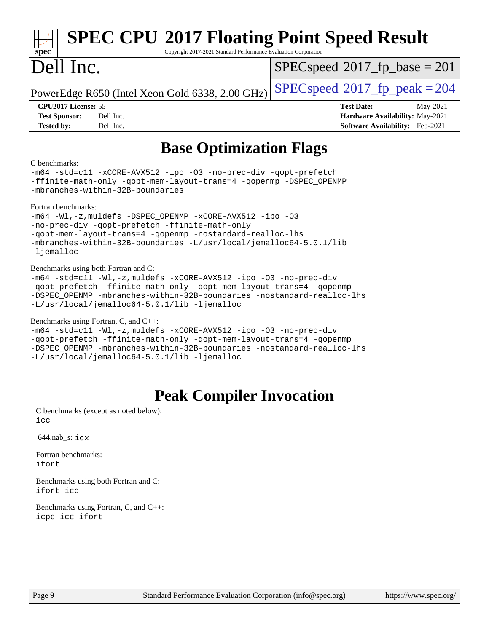| <b>SPEC CPU®2017 Floating Point Speed Result</b><br>Copyright 2017-2021 Standard Performance Evaluation Corporation<br>$spec^*$                                                                                                                                                                             |                                                                                                     |  |  |
|-------------------------------------------------------------------------------------------------------------------------------------------------------------------------------------------------------------------------------------------------------------------------------------------------------------|-----------------------------------------------------------------------------------------------------|--|--|
| Dell Inc.                                                                                                                                                                                                                                                                                                   | $SPEC speed^{\circ}2017$ fp base = 201                                                              |  |  |
| PowerEdge R650 (Intel Xeon Gold 6338, 2.00 GHz)                                                                                                                                                                                                                                                             | $SPEC speed^{\circ}2017$ _fp_peak = 204                                                             |  |  |
| CPU2017 License: 55<br><b>Test Sponsor:</b><br>Dell Inc.<br>Dell Inc.<br><b>Tested by:</b>                                                                                                                                                                                                                  | <b>Test Date:</b><br>May-2021<br>Hardware Availability: May-2021<br>Software Availability: Feb-2021 |  |  |
| <b>Base Optimization Flags</b>                                                                                                                                                                                                                                                                              |                                                                                                     |  |  |
| C benchmarks:<br>-m64 -std=cl1 -xCORE-AVX512 -ipo -03 -no-prec-div -qopt-prefetch<br>-ffinite-math-only -qopt-mem-layout-trans=4 -qopenmp -DSPEC_OPENMP<br>-mbranches-within-32B-boundaries                                                                                                                 |                                                                                                     |  |  |
| Fortran benchmarks:<br>$-m64$ -Wl,-z, muldefs -DSPEC OPENMP -xCORE-AVX512 -ipo -03<br>-no-prec-div -qopt-prefetch -ffinite-math-only<br>-qopt-mem-layout-trans=4 -qopenmp -nostandard-realloc-lhs<br>-mbranches-within-32B-boundaries -L/usr/local/jemalloc64-5.0.1/lib<br>-ljemalloc                       |                                                                                                     |  |  |
| Benchmarks using both Fortran and C:<br>-m64 -std=c11 -Wl,-z, muldefs -xCORE-AVX512 -ipo -03 -no-prec-div<br>-qopt-prefetch -ffinite-math-only -qopt-mem-layout-trans=4 -qopenmp<br>-DSPEC_OPENMP -mbranches-within-32B-boundaries -nostandard-realloc-lhs<br>-L/usr/local/jemalloc64-5.0.1/lib -ljemalloc  |                                                                                                     |  |  |
| Benchmarks using Fortran, C, and C++:<br>-m64 -std=c11 -Wl,-z, muldefs -xCORE-AVX512 -ipo -03 -no-prec-div<br>-qopt-prefetch -ffinite-math-only -qopt-mem-layout-trans=4 -qopenmp<br>-DSPEC_OPENMP -mbranches-within-32B-boundaries -nostandard-realloc-lhs<br>-L/usr/local/jemalloc64-5.0.1/lib -ljemalloc |                                                                                                     |  |  |
| <b>Peak Compiler Invocation</b>                                                                                                                                                                                                                                                                             |                                                                                                     |  |  |
| C benchmarks (except as noted below):<br>icc                                                                                                                                                                                                                                                                |                                                                                                     |  |  |
| $644.nab$ <sub>S</sub> : $i$ $cx$                                                                                                                                                                                                                                                                           |                                                                                                     |  |  |
| Fortran benchmarks:<br>ifort                                                                                                                                                                                                                                                                                |                                                                                                     |  |  |
| Benchmarks using both Fortran and C:<br>ifort icc                                                                                                                                                                                                                                                           |                                                                                                     |  |  |

[Benchmarks using Fortran, C, and C++:](http://www.spec.org/auto/cpu2017/Docs/result-fields.html#BenchmarksusingFortranCandCXX) [icpc](http://www.spec.org/cpu2017/results/res2021q2/cpu2017-20210524-26532.flags.html#user_CC_CXX_FCpeak_intel_icpc_c510b6838c7f56d33e37e94d029a35b4a7bccf4766a728ee175e80a419847e808290a9b78be685c44ab727ea267ec2f070ec5dc83b407c0218cded6866a35d07) [icc](http://www.spec.org/cpu2017/results/res2021q2/cpu2017-20210524-26532.flags.html#user_CC_CXX_FCpeak_intel_icc_66fc1ee009f7361af1fbd72ca7dcefbb700085f36577c54f309893dd4ec40d12360134090235512931783d35fd58c0460139e722d5067c5574d8eaf2b3e37e92) [ifort](http://www.spec.org/cpu2017/results/res2021q2/cpu2017-20210524-26532.flags.html#user_CC_CXX_FCpeak_intel_ifort_8111460550e3ca792625aed983ce982f94888b8b503583aa7ba2b8303487b4d8a21a13e7191a45c5fd58ff318f48f9492884d4413fa793fd88dd292cad7027ca)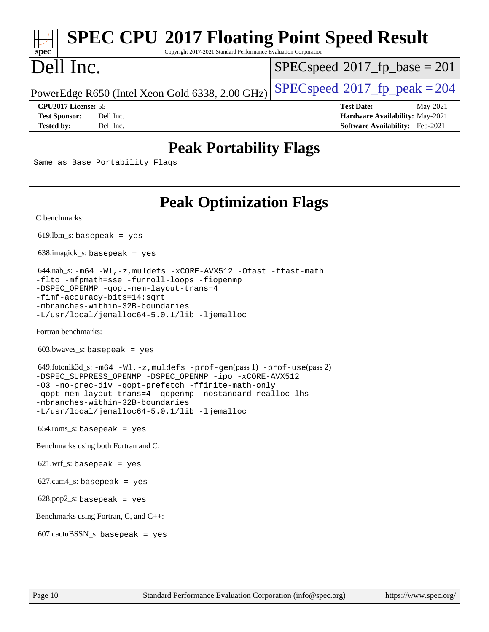#### **[spec](http://www.spec.org/) [SPEC CPU](http://www.spec.org/auto/cpu2017/Docs/result-fields.html#SPECCPU2017FloatingPointSpeedResult)[2017 Floating Point Speed Result](http://www.spec.org/auto/cpu2017/Docs/result-fields.html#SPECCPU2017FloatingPointSpeedResult)**

Copyright 2017-2021 Standard Performance Evaluation Corporation

# Dell Inc.

[SPECspeed](http://www.spec.org/auto/cpu2017/Docs/result-fields.html#SPECspeed2017fpbase)<sup>®</sup>2017 fp base = 201

PowerEdge R650 (Intel Xeon Gold 6338, 2.00 GHz)  $\left|$  [SPECspeed](http://www.spec.org/auto/cpu2017/Docs/result-fields.html#SPECspeed2017fppeak)®[2017\\_fp\\_peak = 2](http://www.spec.org/auto/cpu2017/Docs/result-fields.html#SPECspeed2017fppeak)04

**[CPU2017 License:](http://www.spec.org/auto/cpu2017/Docs/result-fields.html#CPU2017License)** 55 **[Test Date:](http://www.spec.org/auto/cpu2017/Docs/result-fields.html#TestDate)** May-2021 **[Test Sponsor:](http://www.spec.org/auto/cpu2017/Docs/result-fields.html#TestSponsor)** Dell Inc. **[Hardware Availability:](http://www.spec.org/auto/cpu2017/Docs/result-fields.html#HardwareAvailability)** May-2021 **[Tested by:](http://www.spec.org/auto/cpu2017/Docs/result-fields.html#Testedby)** Dell Inc. **[Software Availability:](http://www.spec.org/auto/cpu2017/Docs/result-fields.html#SoftwareAvailability)** Feb-2021

## **[Peak Portability Flags](http://www.spec.org/auto/cpu2017/Docs/result-fields.html#PeakPortabilityFlags)**

Same as Base Portability Flags

## **[Peak Optimization Flags](http://www.spec.org/auto/cpu2017/Docs/result-fields.html#PeakOptimizationFlags)**

[C benchmarks](http://www.spec.org/auto/cpu2017/Docs/result-fields.html#Cbenchmarks):

 $619.$ lbm\_s: basepeak = yes

638.imagick\_s: basepeak = yes

 644.nab\_s: [-m64](http://www.spec.org/cpu2017/results/res2021q2/cpu2017-20210524-26532.flags.html#user_peakCCLD644_nab_s_m64-icc) [-Wl,-z,muldefs](http://www.spec.org/cpu2017/results/res2021q2/cpu2017-20210524-26532.flags.html#user_peakEXTRA_LDFLAGS644_nab_s_link_force_multiple1_b4cbdb97b34bdee9ceefcfe54f4c8ea74255f0b02a4b23e853cdb0e18eb4525ac79b5a88067c842dd0ee6996c24547a27a4b99331201badda8798ef8a743f577) [-xCORE-AVX512](http://www.spec.org/cpu2017/results/res2021q2/cpu2017-20210524-26532.flags.html#user_peakCOPTIMIZE644_nab_s_f-xCORE-AVX512) [-Ofast](http://www.spec.org/cpu2017/results/res2021q2/cpu2017-20210524-26532.flags.html#user_peakCOPTIMIZE644_nab_s_f-Ofast) [-ffast-math](http://www.spec.org/cpu2017/results/res2021q2/cpu2017-20210524-26532.flags.html#user_peakCOPTIMIZE644_nab_s_f-ffast-math) [-flto](http://www.spec.org/cpu2017/results/res2021q2/cpu2017-20210524-26532.flags.html#user_peakCOPTIMIZE644_nab_s_f-flto) [-mfpmath=sse](http://www.spec.org/cpu2017/results/res2021q2/cpu2017-20210524-26532.flags.html#user_peakCOPTIMIZE644_nab_s_f-mfpmath_70eb8fac26bde974f8ab713bc9086c5621c0b8d2f6c86f38af0bd7062540daf19db5f3a066d8c6684be05d84c9b6322eb3b5be6619d967835195b93d6c02afa1) [-funroll-loops](http://www.spec.org/cpu2017/results/res2021q2/cpu2017-20210524-26532.flags.html#user_peakCOPTIMIZE644_nab_s_f-funroll-loops) [-fiopenmp](http://www.spec.org/cpu2017/results/res2021q2/cpu2017-20210524-26532.flags.html#user_peakCOPTIMIZE644_nab_s_fiopenmp_4cde26b3fcccd23bd0bb70af4efc204325d72839eefa1147e34201101709f20b3deb62aad96701dea148529bf4ca48c90b72f3bf837ca148e297cf8a0ba6feb7) [-DSPEC\\_OPENMP](http://www.spec.org/cpu2017/results/res2021q2/cpu2017-20210524-26532.flags.html#suite_peakCOPTIMIZE644_nab_s_DSPEC_OPENMP) [-qopt-mem-layout-trans=4](http://www.spec.org/cpu2017/results/res2021q2/cpu2017-20210524-26532.flags.html#user_peakCOPTIMIZE644_nab_s_f-qopt-mem-layout-trans_fa39e755916c150a61361b7846f310bcdf6f04e385ef281cadf3647acec3f0ae266d1a1d22d972a7087a248fd4e6ca390a3634700869573d231a252c784941a8) [-fimf-accuracy-bits=14:sqrt](http://www.spec.org/cpu2017/results/res2021q2/cpu2017-20210524-26532.flags.html#user_peakEXTRA_OPTIMIZE644_nab_s_f-imf-accuracy-bits_dec3764af0c61f52590ca8f859bc2b38948cb3a9f4bd45f959a8dd6743142ff5c0d5c89fdfba8d7c6d41a5122d7dc4d32797a5effd20a981baa30839b7373d7d) [-mbranches-within-32B-boundaries](http://www.spec.org/cpu2017/results/res2021q2/cpu2017-20210524-26532.flags.html#user_peakEXTRA_COPTIMIZEEXTRA_OPTIMIZE644_nab_s_f-mbranches-within-32B-boundaries) [-L/usr/local/jemalloc64-5.0.1/lib](http://www.spec.org/cpu2017/results/res2021q2/cpu2017-20210524-26532.flags.html#user_peakEXTRA_LIBS644_nab_s_jemalloc_link_path64_1_cc289568b1a6c0fd3b62c91b824c27fcb5af5e8098e6ad028160d21144ef1b8aef3170d2acf0bee98a8da324cfe4f67d0a3d0c4cc4673d993d694dc2a0df248b) [-ljemalloc](http://www.spec.org/cpu2017/results/res2021q2/cpu2017-20210524-26532.flags.html#user_peakEXTRA_LIBS644_nab_s_jemalloc_link_lib_d1249b907c500fa1c0672f44f562e3d0f79738ae9e3c4a9c376d49f265a04b9c99b167ecedbf6711b3085be911c67ff61f150a17b3472be731631ba4d0471706)

[Fortran benchmarks](http://www.spec.org/auto/cpu2017/Docs/result-fields.html#Fortranbenchmarks):

603.bwaves\_s: basepeak = yes

 649.fotonik3d\_s: [-m64](http://www.spec.org/cpu2017/results/res2021q2/cpu2017-20210524-26532.flags.html#user_peakFCLD649_fotonik3d_s_m64-icc) [-Wl,-z,muldefs](http://www.spec.org/cpu2017/results/res2021q2/cpu2017-20210524-26532.flags.html#user_peakEXTRA_LDFLAGS649_fotonik3d_s_link_force_multiple1_b4cbdb97b34bdee9ceefcfe54f4c8ea74255f0b02a4b23e853cdb0e18eb4525ac79b5a88067c842dd0ee6996c24547a27a4b99331201badda8798ef8a743f577) [-prof-gen](http://www.spec.org/cpu2017/results/res2021q2/cpu2017-20210524-26532.flags.html#user_peakPASS1_FFLAGSPASS1_LDFLAGS649_fotonik3d_s_prof_gen_5aa4926d6013ddb2a31985c654b3eb18169fc0c6952a63635c234f711e6e63dd76e94ad52365559451ec499a2cdb89e4dc58ba4c67ef54ca681ffbe1461d6b36)(pass 1) [-prof-use](http://www.spec.org/cpu2017/results/res2021q2/cpu2017-20210524-26532.flags.html#user_peakPASS2_FFLAGSPASS2_LDFLAGS649_fotonik3d_s_prof_use_1a21ceae95f36a2b53c25747139a6c16ca95bd9def2a207b4f0849963b97e94f5260e30a0c64f4bb623698870e679ca08317ef8150905d41bd88c6f78df73f19)(pass 2) [-DSPEC\\_SUPPRESS\\_OPENMP](http://www.spec.org/cpu2017/results/res2021q2/cpu2017-20210524-26532.flags.html#suite_peakPASS1_FOPTIMIZE649_fotonik3d_s_DSPEC_SUPPRESS_OPENMP) [-DSPEC\\_OPENMP](http://www.spec.org/cpu2017/results/res2021q2/cpu2017-20210524-26532.flags.html#suite_peakPASS2_FOPTIMIZE649_fotonik3d_s_DSPEC_OPENMP) [-ipo](http://www.spec.org/cpu2017/results/res2021q2/cpu2017-20210524-26532.flags.html#user_peakPASS1_FOPTIMIZEPASS2_FOPTIMIZE649_fotonik3d_s_f-ipo) [-xCORE-AVX512](http://www.spec.org/cpu2017/results/res2021q2/cpu2017-20210524-26532.flags.html#user_peakPASS2_FOPTIMIZE649_fotonik3d_s_f-xCORE-AVX512) [-O3](http://www.spec.org/cpu2017/results/res2021q2/cpu2017-20210524-26532.flags.html#user_peakPASS1_FOPTIMIZEPASS2_FOPTIMIZE649_fotonik3d_s_f-O3) [-no-prec-div](http://www.spec.org/cpu2017/results/res2021q2/cpu2017-20210524-26532.flags.html#user_peakPASS1_FOPTIMIZEPASS2_FOPTIMIZE649_fotonik3d_s_f-no-prec-div) [-qopt-prefetch](http://www.spec.org/cpu2017/results/res2021q2/cpu2017-20210524-26532.flags.html#user_peakPASS1_FOPTIMIZEPASS2_FOPTIMIZE649_fotonik3d_s_f-qopt-prefetch) [-ffinite-math-only](http://www.spec.org/cpu2017/results/res2021q2/cpu2017-20210524-26532.flags.html#user_peakPASS1_FOPTIMIZEPASS2_FOPTIMIZE649_fotonik3d_s_f_finite_math_only_cb91587bd2077682c4b38af759c288ed7c732db004271a9512da14a4f8007909a5f1427ecbf1a0fb78ff2a814402c6114ac565ca162485bbcae155b5e4258871) [-qopt-mem-layout-trans=4](http://www.spec.org/cpu2017/results/res2021q2/cpu2017-20210524-26532.flags.html#user_peakPASS1_FOPTIMIZEPASS2_FOPTIMIZE649_fotonik3d_s_f-qopt-mem-layout-trans_fa39e755916c150a61361b7846f310bcdf6f04e385ef281cadf3647acec3f0ae266d1a1d22d972a7087a248fd4e6ca390a3634700869573d231a252c784941a8) [-qopenmp](http://www.spec.org/cpu2017/results/res2021q2/cpu2017-20210524-26532.flags.html#user_peakPASS2_FOPTIMIZE649_fotonik3d_s_qopenmp_16be0c44f24f464004c6784a7acb94aca937f053568ce72f94b139a11c7c168634a55f6653758ddd83bcf7b8463e8028bb0b48b77bcddc6b78d5d95bb1df2967) [-nostandard-realloc-lhs](http://www.spec.org/cpu2017/results/res2021q2/cpu2017-20210524-26532.flags.html#user_peakEXTRA_FOPTIMIZE649_fotonik3d_s_f_2003_std_realloc_82b4557e90729c0f113870c07e44d33d6f5a304b4f63d4c15d2d0f1fab99f5daaed73bdb9275d9ae411527f28b936061aa8b9c8f2d63842963b95c9dd6426b8a) [-mbranches-within-32B-boundaries](http://www.spec.org/cpu2017/results/res2021q2/cpu2017-20210524-26532.flags.html#user_peakEXTRA_FOPTIMIZE649_fotonik3d_s_f-mbranches-within-32B-boundaries) [-L/usr/local/jemalloc64-5.0.1/lib](http://www.spec.org/cpu2017/results/res2021q2/cpu2017-20210524-26532.flags.html#user_peakEXTRA_LIBS649_fotonik3d_s_jemalloc_link_path64_1_cc289568b1a6c0fd3b62c91b824c27fcb5af5e8098e6ad028160d21144ef1b8aef3170d2acf0bee98a8da324cfe4f67d0a3d0c4cc4673d993d694dc2a0df248b) [-ljemalloc](http://www.spec.org/cpu2017/results/res2021q2/cpu2017-20210524-26532.flags.html#user_peakEXTRA_LIBS649_fotonik3d_s_jemalloc_link_lib_d1249b907c500fa1c0672f44f562e3d0f79738ae9e3c4a9c376d49f265a04b9c99b167ecedbf6711b3085be911c67ff61f150a17b3472be731631ba4d0471706)

654.roms\_s: basepeak = yes

[Benchmarks using both Fortran and C](http://www.spec.org/auto/cpu2017/Docs/result-fields.html#BenchmarksusingbothFortranandC):

621.wrf\_s: basepeak = yes

627.cam4\_s: basepeak = yes

628.pop2\_s: basepeak = yes

[Benchmarks using Fortran, C, and C++:](http://www.spec.org/auto/cpu2017/Docs/result-fields.html#BenchmarksusingFortranCandCXX)

607.cactuBSSN\_s: basepeak = yes